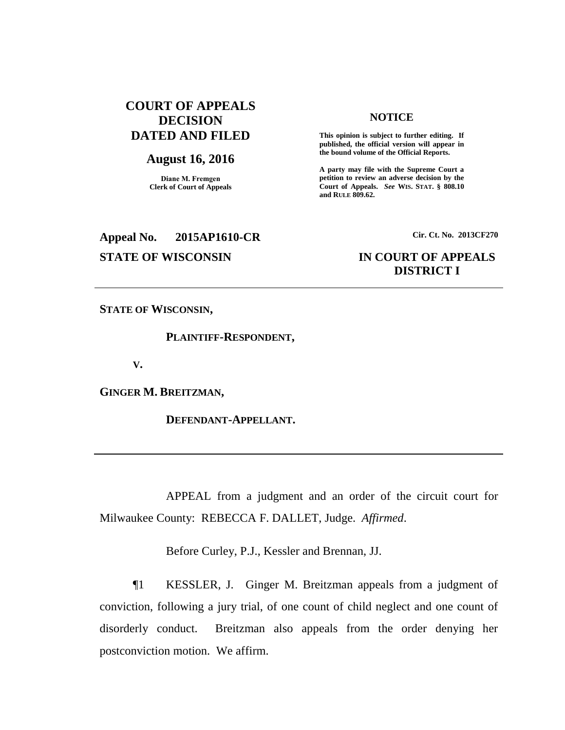# **COURT OF APPEALS DECISION DATED AND FILED**

## **August 16, 2016**

**Diane M. Fremgen Clerk of Court of Appeals**

# **Appeal No. 2015AP1610-CR Cir. Ct. No. 2013CF270**

### **NOTICE**

**This opinion is subject to further editing. If published, the official version will appear in the bound volume of the Official Reports.** 

**A party may file with the Supreme Court a petition to review an adverse decision by the Court of Appeals.** *See* **WIS. STAT. § 808.10 and RULE 809.62.** 

# **STATE OF WISCONSIN IN COURT OF APPEALS DISTRICT I**

**STATE OF WISCONSIN,**

**PLAINTIFF-RESPONDENT,**

**V.**

**GINGER M. BREITZMAN,**

**DEFENDANT-APPELLANT.**

APPEAL from a judgment and an order of the circuit court for Milwaukee County: REBECCA F. DALLET, Judge. *Affirmed*.

Before Curley, P.J., Kessler and Brennan, JJ.

¶1 KESSLER, J. Ginger M. Breitzman appeals from a judgment of conviction, following a jury trial, of one count of child neglect and one count of disorderly conduct. Breitzman also appeals from the order denying her postconviction motion. We affirm.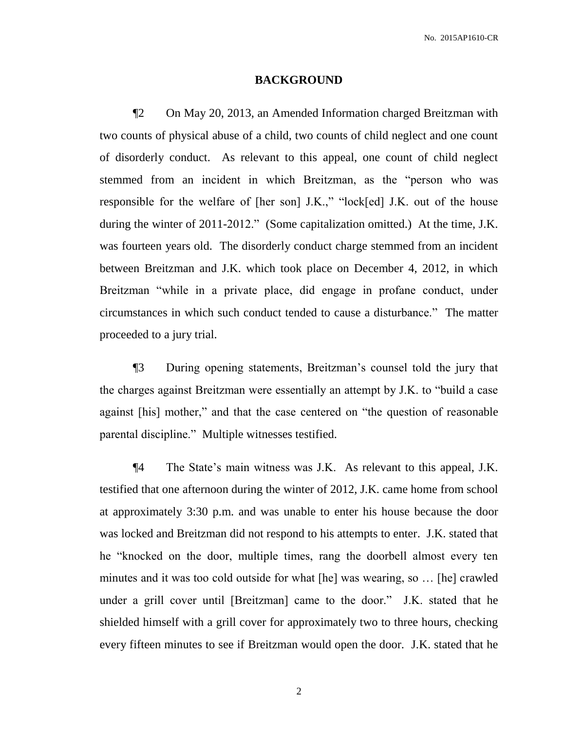#### **BACKGROUND**

¶2 On May 20, 2013, an Amended Information charged Breitzman with two counts of physical abuse of a child, two counts of child neglect and one count of disorderly conduct. As relevant to this appeal, one count of child neglect stemmed from an incident in which Breitzman, as the "person who was responsible for the welfare of [her son] J.K.," "lock[ed] J.K. out of the house during the winter of 2011-2012." (Some capitalization omitted.) At the time, J.K. was fourteen years old. The disorderly conduct charge stemmed from an incident between Breitzman and J.K. which took place on December 4, 2012, in which Breitzman "while in a private place, did engage in profane conduct, under circumstances in which such conduct tended to cause a disturbance." The matter proceeded to a jury trial.

¶3 During opening statements, Breitzman's counsel told the jury that the charges against Breitzman were essentially an attempt by J.K. to "build a case against [his] mother," and that the case centered on "the question of reasonable parental discipline." Multiple witnesses testified.

¶4 The State's main witness was J.K. As relevant to this appeal, J.K. testified that one afternoon during the winter of 2012, J.K. came home from school at approximately 3:30 p.m. and was unable to enter his house because the door was locked and Breitzman did not respond to his attempts to enter. J.K. stated that he "knocked on the door, multiple times, rang the doorbell almost every ten minutes and it was too cold outside for what [he] was wearing, so … [he] crawled under a grill cover until [Breitzman] came to the door." J.K. stated that he shielded himself with a grill cover for approximately two to three hours, checking every fifteen minutes to see if Breitzman would open the door. J.K. stated that he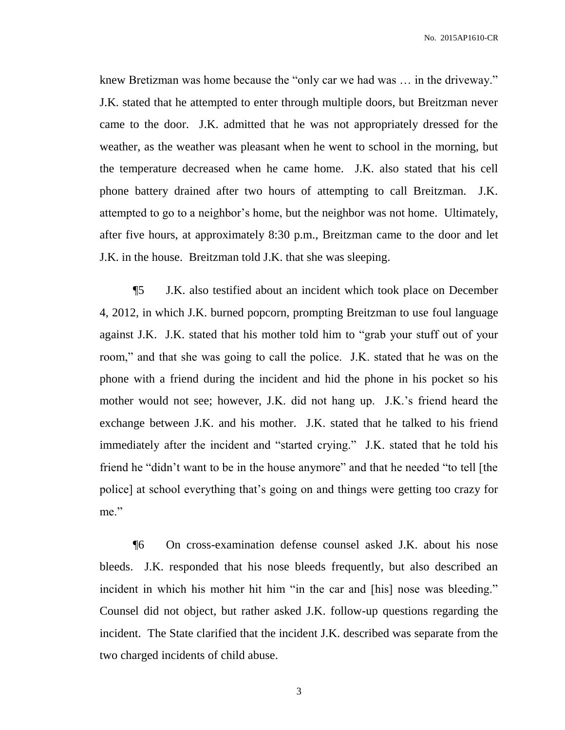knew Bretizman was home because the "only car we had was … in the driveway." J.K. stated that he attempted to enter through multiple doors, but Breitzman never came to the door. J.K. admitted that he was not appropriately dressed for the weather, as the weather was pleasant when he went to school in the morning, but the temperature decreased when he came home. J.K. also stated that his cell phone battery drained after two hours of attempting to call Breitzman. J.K. attempted to go to a neighbor's home, but the neighbor was not home. Ultimately, after five hours, at approximately 8:30 p.m., Breitzman came to the door and let J.K. in the house. Breitzman told J.K. that she was sleeping.

¶5 J.K. also testified about an incident which took place on December 4, 2012, in which J.K. burned popcorn, prompting Breitzman to use foul language against J.K. J.K. stated that his mother told him to "grab your stuff out of your room," and that she was going to call the police. J.K. stated that he was on the phone with a friend during the incident and hid the phone in his pocket so his mother would not see; however, J.K. did not hang up. J.K.'s friend heard the exchange between J.K. and his mother. J.K. stated that he talked to his friend immediately after the incident and "started crying." J.K. stated that he told his friend he "didn't want to be in the house anymore" and that he needed "to tell [the police] at school everything that's going on and things were getting too crazy for me."

¶6 On cross-examination defense counsel asked J.K. about his nose bleeds. J.K. responded that his nose bleeds frequently, but also described an incident in which his mother hit him "in the car and [his] nose was bleeding." Counsel did not object, but rather asked J.K. follow-up questions regarding the incident. The State clarified that the incident J.K. described was separate from the two charged incidents of child abuse.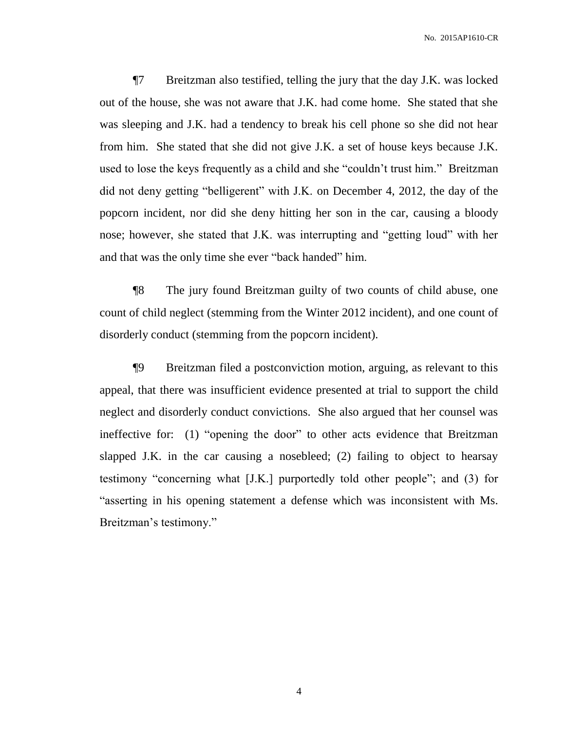¶7 Breitzman also testified, telling the jury that the day J.K. was locked out of the house, she was not aware that J.K. had come home. She stated that she was sleeping and J.K. had a tendency to break his cell phone so she did not hear from him. She stated that she did not give J.K. a set of house keys because J.K. used to lose the keys frequently as a child and she "couldn't trust him." Breitzman did not deny getting "belligerent" with J.K. on December 4, 2012, the day of the popcorn incident, nor did she deny hitting her son in the car, causing a bloody nose; however, she stated that J.K. was interrupting and "getting loud" with her and that was the only time she ever "back handed" him.

¶8 The jury found Breitzman guilty of two counts of child abuse, one count of child neglect (stemming from the Winter 2012 incident), and one count of disorderly conduct (stemming from the popcorn incident).

¶9 Breitzman filed a postconviction motion, arguing, as relevant to this appeal, that there was insufficient evidence presented at trial to support the child neglect and disorderly conduct convictions. She also argued that her counsel was ineffective for: (1) "opening the door" to other acts evidence that Breitzman slapped J.K. in the car causing a nosebleed; (2) failing to object to hearsay testimony "concerning what [J.K.] purportedly told other people"; and (3) for "asserting in his opening statement a defense which was inconsistent with Ms. Breitzman's testimony."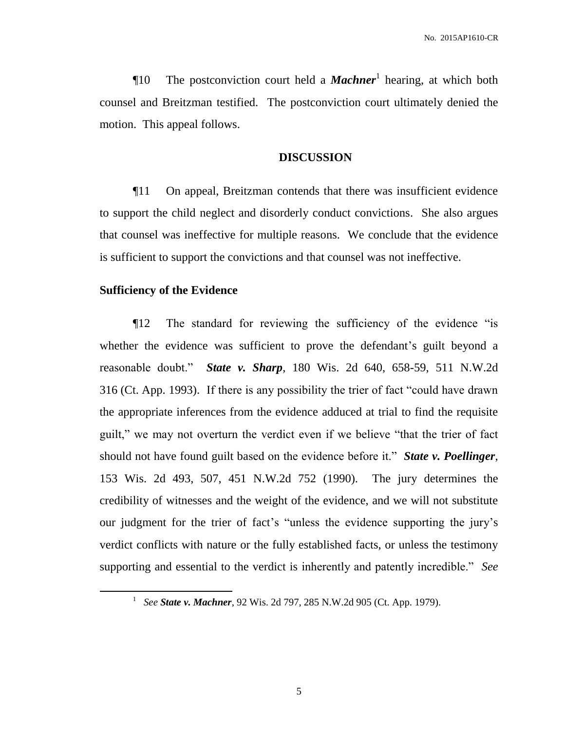**The postconviction court held a** *Machner* hearing, at which both counsel and Breitzman testified. The postconviction court ultimately denied the motion. This appeal follows.

## **DISCUSSION**

¶11 On appeal, Breitzman contends that there was insufficient evidence to support the child neglect and disorderly conduct convictions. She also argues that counsel was ineffective for multiple reasons. We conclude that the evidence is sufficient to support the convictions and that counsel was not ineffective.

# **Sufficiency of the Evidence**

 $\overline{a}$ 

¶12 The standard for reviewing the sufficiency of the evidence "is whether the evidence was sufficient to prove the defendant's guilt beyond a reasonable doubt." *State v. Sharp*, 180 Wis. 2d 640, 658-59, 511 N.W.2d 316 (Ct. App. 1993). If there is any possibility the trier of fact "could have drawn the appropriate inferences from the evidence adduced at trial to find the requisite guilt," we may not overturn the verdict even if we believe "that the trier of fact should not have found guilt based on the evidence before it." *State v. Poellinger*, 153 Wis. 2d 493, 507, 451 N.W.2d 752 (1990). The jury determines the credibility of witnesses and the weight of the evidence, and we will not substitute our judgment for the trier of fact's "unless the evidence supporting the jury's verdict conflicts with nature or the fully established facts, or unless the testimony supporting and essential to the verdict is inherently and patently incredible." *See* 

<sup>1</sup> *See State v. Machner*, 92 Wis. 2d 797, 285 N.W.2d 905 (Ct. App. 1979).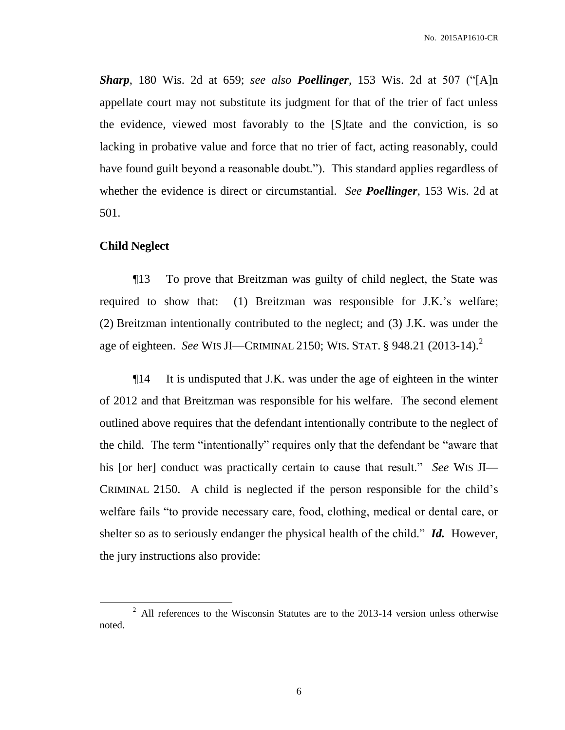*Sharp*, 180 Wis. 2d at 659; *see also Poellinger*, 153 Wis. 2d at 507 ("[A]n appellate court may not substitute its judgment for that of the trier of fact unless the evidence, viewed most favorably to the [S]tate and the conviction, is so lacking in probative value and force that no trier of fact, acting reasonably, could have found guilt beyond a reasonable doubt."). This standard applies regardless of whether the evidence is direct or circumstantial. *See Poellinger*, 153 Wis. 2d at 501.

### **Child Neglect**

 $\overline{a}$ 

¶13 To prove that Breitzman was guilty of child neglect, the State was required to show that: (1) Breitzman was responsible for J.K.'s welfare; (2) Breitzman intentionally contributed to the neglect; and (3) J.K. was under the age of eighteen. *See* WIS JI—CRIMINAL 2150; WIS. STAT. § 948.21 (2013-14).<sup>2</sup>

¶14 It is undisputed that J.K. was under the age of eighteen in the winter of 2012 and that Breitzman was responsible for his welfare. The second element outlined above requires that the defendant intentionally contribute to the neglect of the child. The term "intentionally" requires only that the defendant be "aware that his [or her] conduct was practically certain to cause that result." *See* WIS JI— CRIMINAL 2150. A child is neglected if the person responsible for the child's welfare fails "to provide necessary care, food, clothing, medical or dental care, or shelter so as to seriously endanger the physical health of the child." *Id.* However, the jury instructions also provide:

 $2$  All references to the Wisconsin Statutes are to the 2013-14 version unless otherwise noted.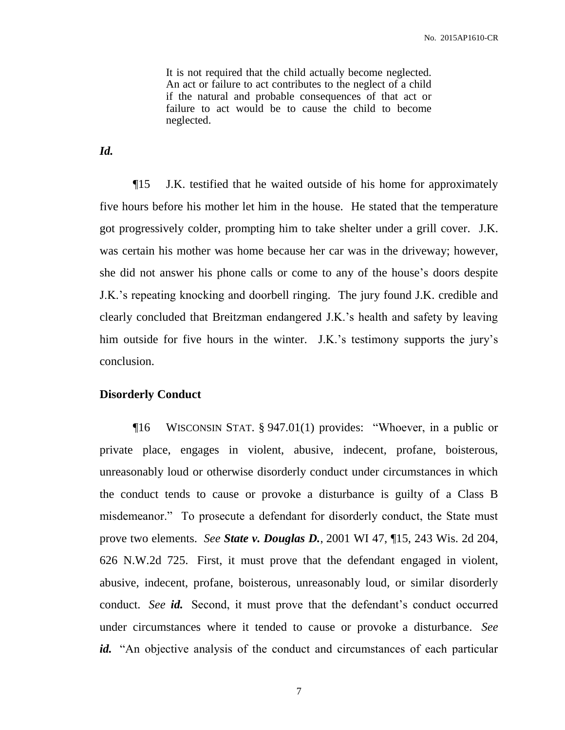It is not required that the child actually become neglected. An act or failure to act contributes to the neglect of a child if the natural and probable consequences of that act or failure to act would be to cause the child to become neglected.

*Id.* 

¶15 J.K. testified that he waited outside of his home for approximately five hours before his mother let him in the house. He stated that the temperature got progressively colder, prompting him to take shelter under a grill cover. J.K. was certain his mother was home because her car was in the driveway; however, she did not answer his phone calls or come to any of the house's doors despite J.K.'s repeating knocking and doorbell ringing. The jury found J.K. credible and clearly concluded that Breitzman endangered J.K.'s health and safety by leaving him outside for five hours in the winter. J.K.'s testimony supports the jury's conclusion.

## **Disorderly Conduct**

¶16 WISCONSIN STAT. § 947.01(1) provides: "Whoever, in a public or private place, engages in violent, abusive, indecent, profane, boisterous, unreasonably loud or otherwise disorderly conduct under circumstances in which the conduct tends to cause or provoke a disturbance is guilty of a Class B misdemeanor." To prosecute a defendant for disorderly conduct, the State must prove two elements. *See State v. Douglas D.*, 2001 WI 47, ¶15, 243 Wis. 2d 204, 626 N.W.2d 725. First, it must prove that the defendant engaged in violent, abusive, indecent, profane, boisterous, unreasonably loud, or similar disorderly conduct. *See id.* Second, it must prove that the defendant's conduct occurred under circumstances where it tended to cause or provoke a disturbance. *See id.* "An objective analysis of the conduct and circumstances of each particular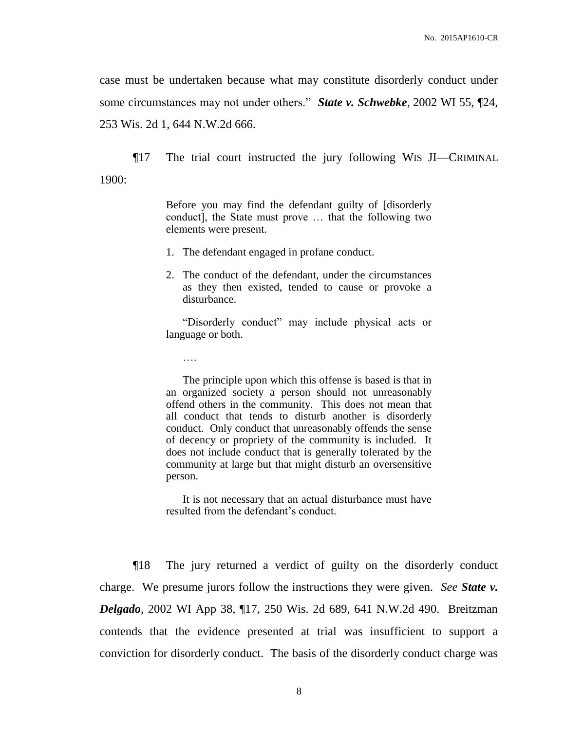case must be undertaken because what may constitute disorderly conduct under some circumstances may not under others." *State v. Schwebke*, 2002 WI 55, ¶24, 253 Wis. 2d 1, 644 N.W.2d 666.

¶17 The trial court instructed the jury following WIS JI—CRIMINAL 1900:

> Before you may find the defendant guilty of [disorderly conduct], the State must prove … that the following two elements were present.

1. The defendant engaged in profane conduct.

….

2. The conduct of the defendant, under the circumstances as they then existed, tended to cause or provoke a disturbance.

"Disorderly conduct" may include physical acts or language or both.

The principle upon which this offense is based is that in an organized society a person should not unreasonably offend others in the community. This does not mean that all conduct that tends to disturb another is disorderly conduct. Only conduct that unreasonably offends the sense of decency or propriety of the community is included. It does not include conduct that is generally tolerated by the community at large but that might disturb an oversensitive person.

It is not necessary that an actual disturbance must have resulted from the defendant's conduct.

¶18 The jury returned a verdict of guilty on the disorderly conduct charge. We presume jurors follow the instructions they were given. *See State v. Delgado*, 2002 WI App 38, ¶17, 250 Wis. 2d 689, 641 N.W.2d 490. Breitzman contends that the evidence presented at trial was insufficient to support a conviction for disorderly conduct. The basis of the disorderly conduct charge was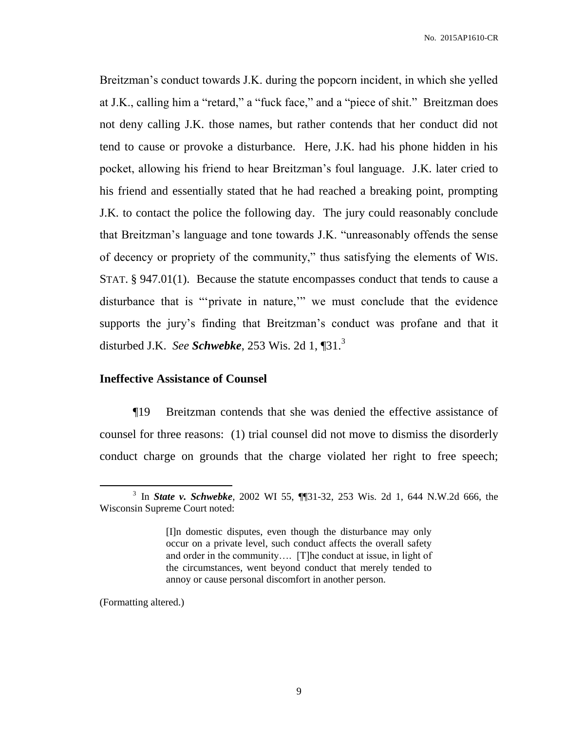Breitzman's conduct towards J.K. during the popcorn incident, in which she yelled at J.K., calling him a "retard," a "fuck face," and a "piece of shit." Breitzman does not deny calling J.K. those names, but rather contends that her conduct did not tend to cause or provoke a disturbance. Here, J.K. had his phone hidden in his pocket, allowing his friend to hear Breitzman's foul language. J.K. later cried to his friend and essentially stated that he had reached a breaking point, prompting J.K. to contact the police the following day. The jury could reasonably conclude that Breitzman's language and tone towards J.K. "unreasonably offends the sense of decency or propriety of the community," thus satisfying the elements of WIS. STAT. § 947.01(1). Because the statute encompasses conduct that tends to cause a disturbance that is "'private in nature,'" we must conclude that the evidence supports the jury's finding that Breitzman's conduct was profane and that it disturbed J.K. *See Schwebke*, 253 Wis. 2d 1, ¶31.<sup>3</sup>

# **Ineffective Assistance of Counsel**

¶19 Breitzman contends that she was denied the effective assistance of counsel for three reasons: (1) trial counsel did not move to dismiss the disorderly conduct charge on grounds that the charge violated her right to free speech;

(Formatting altered.)

 $\overline{a}$ 

<sup>3</sup> In *State v. Schwebke*, 2002 WI 55, ¶¶31-32, 253 Wis. 2d 1, 644 N.W.2d 666, the Wisconsin Supreme Court noted:

<sup>[</sup>I]n domestic disputes, even though the disturbance may only occur on a private level, such conduct affects the overall safety and order in the community…. [T]he conduct at issue, in light of the circumstances, went beyond conduct that merely tended to annoy or cause personal discomfort in another person.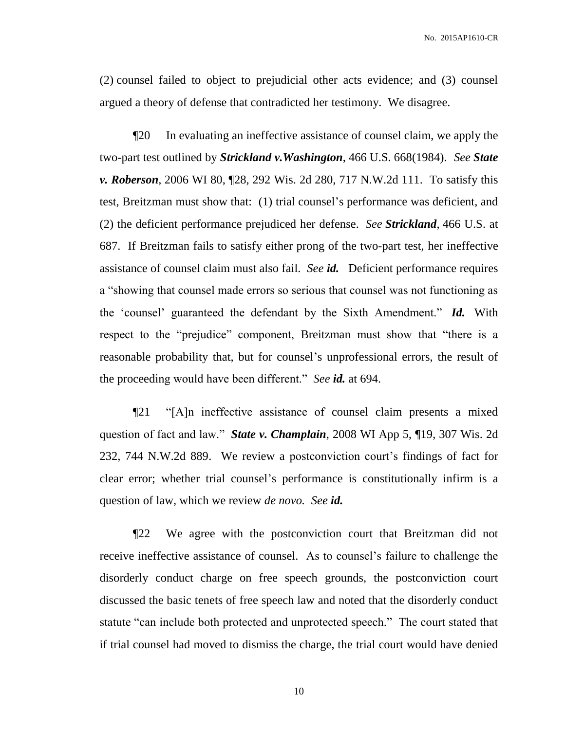(2) counsel failed to object to prejudicial other acts evidence; and (3) counsel argued a theory of defense that contradicted her testimony. We disagree.

¶20 In evaluating an ineffective assistance of counsel claim, we apply the two-part test outlined by *Strickland v.Washington*, 466 U.S. 668(1984). *See State v. Roberson*, 2006 WI 80, ¶28, 292 Wis. 2d 280, 717 N.W.2d 111. To satisfy this test, Breitzman must show that: (1) trial counsel's performance was deficient, and (2) the deficient performance prejudiced her defense. *See Strickland*, 466 U.S. at 687. If Breitzman fails to satisfy either prong of the two-part test, her ineffective assistance of counsel claim must also fail. *See id.* Deficient performance requires a "showing that counsel made errors so serious that counsel was not functioning as the 'counsel' guaranteed the defendant by the Sixth Amendment." *Id.* With respect to the "prejudice" component, Breitzman must show that "there is a reasonable probability that, but for counsel's unprofessional errors, the result of the proceeding would have been different." *See id.* at 694.

¶21 "[A]n ineffective assistance of counsel claim presents a mixed question of fact and law." *State v. Champlain*, 2008 WI App 5, ¶19, 307 Wis. 2d 232, 744 N.W.2d 889. We review a postconviction court's findings of fact for clear error; whether trial counsel's performance is constitutionally infirm is a question of law, which we review *de novo. See id.*

¶22 We agree with the postconviction court that Breitzman did not receive ineffective assistance of counsel. As to counsel's failure to challenge the disorderly conduct charge on free speech grounds, the postconviction court discussed the basic tenets of free speech law and noted that the disorderly conduct statute "can include both protected and unprotected speech." The court stated that if trial counsel had moved to dismiss the charge, the trial court would have denied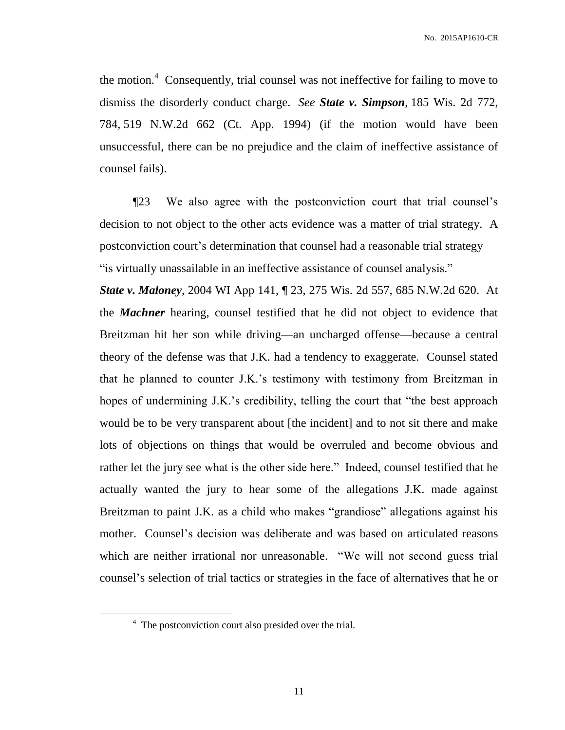the motion.<sup>4</sup> Consequently, trial counsel was not ineffective for failing to move to dismiss the disorderly conduct charge. *See State v. Simpson*, 185 Wis. 2d 772, 784, 519 N.W.2d 662 (Ct. App. 1994) (if the motion would have been unsuccessful, there can be no prejudice and the claim of ineffective assistance of counsel fails).

¶23 We also agree with the postconviction court that trial counsel's decision to not object to the other acts evidence was a matter of trial strategy. A postconviction court's determination that counsel had a reasonable trial strategy "is virtually unassailable in an ineffective assistance of counsel analysis."

*State v. Maloney*, 2004 WI App 141, ¶ 23, 275 Wis. 2d 557, 685 N.W.2d 620. At the *Machner* hearing, counsel testified that he did not object to evidence that Breitzman hit her son while driving—an uncharged offense—because a central theory of the defense was that J.K. had a tendency to exaggerate. Counsel stated that he planned to counter J.K.'s testimony with testimony from Breitzman in hopes of undermining J.K.'s credibility, telling the court that "the best approach would be to be very transparent about [the incident] and to not sit there and make lots of objections on things that would be overruled and become obvious and rather let the jury see what is the other side here." Indeed, counsel testified that he actually wanted the jury to hear some of the allegations J.K. made against Breitzman to paint J.K. as a child who makes "grandiose" allegations against his mother. Counsel's decision was deliberate and was based on articulated reasons which are neither irrational nor unreasonable. "We will not second guess trial counsel's selection of trial tactics or strategies in the face of alternatives that he or

 $\overline{a}$ 

<sup>&</sup>lt;sup>4</sup> The postconviction court also presided over the trial.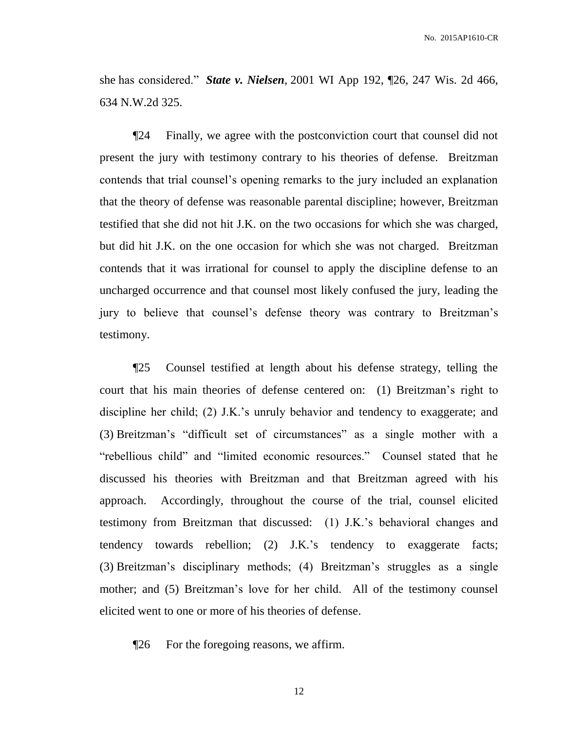she has considered." *State v. Nielsen*, 2001 WI App 192, ¶26, 247 Wis. 2d 466, 634 N.W.2d 325.

¶24 Finally, we agree with the postconviction court that counsel did not present the jury with testimony contrary to his theories of defense. Breitzman contends that trial counsel's opening remarks to the jury included an explanation that the theory of defense was reasonable parental discipline; however, Breitzman testified that she did not hit J.K. on the two occasions for which she was charged, but did hit J.K. on the one occasion for which she was not charged. Breitzman contends that it was irrational for counsel to apply the discipline defense to an uncharged occurrence and that counsel most likely confused the jury, leading the jury to believe that counsel's defense theory was contrary to Breitzman's testimony.

¶25 Counsel testified at length about his defense strategy, telling the court that his main theories of defense centered on: (1) Breitzman's right to discipline her child; (2) J.K.'s unruly behavior and tendency to exaggerate; and (3) Breitzman's "difficult set of circumstances" as a single mother with a "rebellious child" and "limited economic resources." Counsel stated that he discussed his theories with Breitzman and that Breitzman agreed with his approach. Accordingly, throughout the course of the trial, counsel elicited testimony from Breitzman that discussed: (1) J.K.'s behavioral changes and tendency towards rebellion; (2) J.K.'s tendency to exaggerate facts; (3) Breitzman's disciplinary methods; (4) Breitzman's struggles as a single mother; and (5) Breitzman's love for her child. All of the testimony counsel elicited went to one or more of his theories of defense.

¶26 For the foregoing reasons, we affirm.